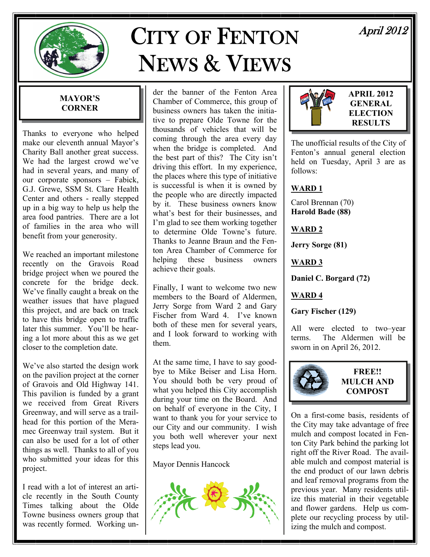

# CITY OF FENTON NEWS & VIEWS

April 2012

### **MAYOR'S CORNER**

Thanks to everyone who helped make our eleventh annual Mayor's Charity Ball another great success. We had the largest crowd we've had in several years, and many of our corporate sponsors – Fabick, G.J. Grewe, SSM St. Clare Health Center and others - really stepped up in a big way to help us help the area food pantries. There are a lot of families in the area who will benefit from your generosity.

We reached an important milestone recently on the Gravois Road bridge project when we poured the concrete for the bridge deck. We've finally caught a break on the weather issues that have plagued this project, and are back on track to have this bridge open to traffic later this summer. You'll be hearing a lot more about this as we get closer to the completion date.

We've also started the design work on the pavilion project at the corner of Gravois and Old Highway 141. This pavilion is funded by a grant we received from Great Rivers Greenway, and will serve as a trailhead for this portion of the Meramec Greenway trail system. But it can also be used for a lot of other things as well. Thanks to all of you who submitted your ideas for this project.

I read with a lot of interest an article recently in the South County Times talking about the Olde Towne business owners group that was recently formed. Working un-

der the banner of the Fenton Area Chamber of Commerce, this group of business owners has taken the initiative to prepare Olde Towne for the thousands of vehicles that will be coming through the area every day when the bridge is completed. And the best part of this? The City isn't driving this effort. In my experience, the places where this type of initiative is successful is when it is owned by the people who are directly impacted by it. These business owners know what's best for their businesses, and I'm glad to see them working together to determine Olde Towne's future. Thanks to Jeanne Braun and the Fenton Area Chamber of Commerce for helping these business owners achieve their goals.

Finally, I want to welcome two new members to the Board of Aldermen, Jerry Sorge from Ward 2 and Gary Fischer from Ward 4. I've known both of these men for several years, and I look forward to working with them.

At the same time, I have to say goodbye to Mike Beiser and Lisa Horn. You should both be very proud of what you helped this City accomplish during your time on the Board. And on behalf of everyone in the City, I want to thank you for your service to our City and our community. I wish you both well wherever your next steps lead you.

Mayor Dennis Hancock





**APRIL 2012 GENERAL ELECTION RESULTS** 

The unofficial results of the City of Fenton's annual general election held on Tuesday, April 3 are as follows:

# **WARD 1**

Carol Brennan (70) **Harold Bade (88)** 

### **WARD 2**

**Jerry Sorge (81)** 

# **WARD 3**

**Daniel C. Borgard (72)** 

# **WARD 4**

**Gary Fischer (129)** 

All were elected to two–year terms. The Aldermen will be sworn in on April 26, 2012.



#### **FREE!! MULCH AND COMPOST**

On a first-come basis, residents of the City may take advantage of free mulch and compost located in Fenton City Park behind the parking lot right off the River Road. The available mulch and compost material is the end product of our lawn debris and leaf removal programs from the previous year. Many residents utilize this material in their vegetable and flower gardens. Help us complete our recycling process by utilizing the mulch and compost.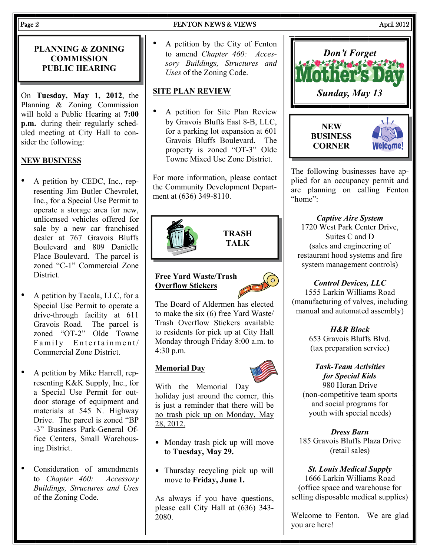#### Page 2 **FENTON NEWS & VIEWS** April 2012

#### **PLANNING & ZONING COMMISSION PUBLIC HEARING**

On **Tuesday, May 1, 2012**, the Planning & Zoning Commission will hold a Public Hearing at **7:00 p.m.** during their regularly scheduled meeting at City Hall to consider the following:

### **NEW BUSINESS**

- A petition by CEDC, Inc., representing Jim Butler Chevrolet, Inc., for a Special Use Permit to operate a storage area for new, unlicensed vehicles offered for sale by a new car franchised dealer at 767 Gravois Bluffs Boulevard and 809 Danielle Place Boulevard. The parcel is zoned "C-1" Commercial Zone District.
- A petition by Tacala, LLC, for a Special Use Permit to operate a drive-through facility at 611 Gravois Road. The parcel is zoned "OT-2" Olde Towne Family Entertainment/ Commercial Zone District.
- A petition by Mike Harrell, representing K&K Supply, Inc., for a Special Use Permit for outdoor storage of equipment and materials at 545 N. Highway Drive. The parcel is zoned "BP -3" Business Park-General Office Centers, Small Warehousing District.
- Consideration of amendments to *Chapter 460: Accessory Buildings, Structures and Uses* of the Zoning Code.

• A petition by the City of Fenton to amend *Chapter 460: Accessory Buildings, Structures and Uses* of the Zoning Code.

#### **SITE PLAN REVIEW**

• A petition for Site Plan Review by Gravois Bluffs East 8-B, LLC, for a parking lot expansion at 601 Gravois Bluffs Boulevard. The property is zoned "OT-3" Olde Towne Mixed Use Zone District.

For more information, please contact the Community Development Department at (636) 349-8110.



#### **Free Yard Waste/Trash Overflow Stickers**



**TRASH TALK** 

The Board of Aldermen has elected to make the six (6) free Yard Waste/ Trash Overflow Stickers available to residents for pick up at City Hall Monday through Friday 8:00 a.m. to 4:30 p.m.

#### **Memorial Day**



With the Memorial Day holiday just around the corner, this is just a reminder that there will be no trash pick up on Monday, May 28, 2012.

- Monday trash pick up will move to **Tuesday, May 29.**
- Thursday recycling pick up will move to **Friday, June 1.**

As always if you have questions, please call City Hall at (636) 343- 2080.



The following businesses have applied for an occupancy permit and are planning on calling Fenton "home":

#### *Captive Aire System*

1720 West Park Center Drive, Suites C and D (sales and engineering of restaurant hood systems and fire system management controls)

#### *Control Devices, LLC*

1555 Larkin Williams Road (manufacturing of valves, including manual and automated assembly)

> *H&R Block*  653 Gravois Bluffs Blvd.

(tax preparation service)

#### *Task-Team Activities for Special Kids*

980 Horan Drive (non-competitive team sports and social programs for youth with special needs)

#### *Dress Barn*

185 Gravois Bluffs Plaza Drive (retail sales)

#### *St. Louis Medical Supply*

1666 Larkin Williams Road (office space and warehouse for selling disposable medical supplies)

Welcome to Fenton. We are glad you are here!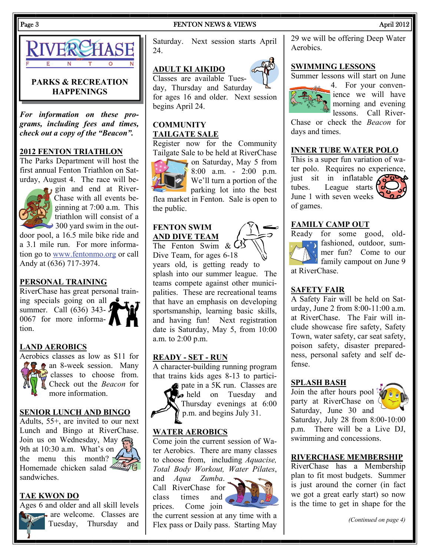

#### **PARKS & RECREATION HAPPENINGS**

*For information on these programs, including fees and times, check out a copy of the "Beacon".* 

#### **2012 FENTON TRIATHLON**

The Parks Department will host the first annual Fenton Triathlon on Saturday, August 4. The race will be-



gin and end at River-Chase with all events beginning at 7:00 a.m. This triathlon will consist of a  $\rightarrow$  300 yard swim in the out-

door pool, a 16.5 mile bike ride and a 3.1 mile run. For more information go to [www.fentonmo.org](http://www.fentonmo.org) or call Andy at (636) 717-3974.

#### **PERSONAL TRAINING**

RiverChase has great personal training specials going on all  $\bullet$ summer. Call (636) 343-0067 for more information.

#### **LAND AEROBICS**

Aerobics classes as low as \$11 for **a** an 8-week session. Many classes to choose from. Check out the *Beacon* for more information.

#### **SENIOR LUNCH AND BINGO**

Adults, 55+, are invited to our next Lunch and Bingo at RiverChase. Join us on Wednesday, May  $\widehat{\mathcal{G}}$ 9th at 10:30 a.m. What's on the menu this month?  $\sim$ Homemade chicken salad  $\triangleq$ sandwiches.



Ages 6 and older and all skill levels are welcome. Classes are Tuesday, Thursday and

Saturday. Next session starts April 24.

#### **ADULT KI AIKIDO**

Classes are available Tuesday, Thursday and Saturday for ages 16 and older. Next session begins April 24.

#### **COMMUNITY TAILGATE SALE**

Register now for the Community Tailgate Sale to be held at RiverChase



on Saturday, May 5 from  $8:00$  a.m. - 2:00 p.m.

flea market in Fenton. Sale is open to the public.

#### **FENTON SWIM AND DIVE TEAM**

The Fenton Swim  $\&$  C<sup>5</sup> Dive Team, for ages 6-18 years old, is getting ready to splash into our summer league. The teams compete against other munici-

#### **READY - SET - RUN**

A character-building running program that trains kids ages 8-13 to partici-



pate in a 5K run. Classes are **A** held on Tuesday and Thursday evenings at 6:00 p.m. and begins July 31.

#### **WATER AEROBICS**

Come join the current session of Water Aerobics. There are many classes to choose from, including *Aquacise, Total Body Workout, Water Pilates*,

and *Aqua Zumba*. Call RiverChase for class times and prices. Come join

the current session at any time with a Flex pass or Daily pass. Starting May 29 we will be offering Deep Water Aerobics.

#### **SWIMMING LESSONS**

Summer lessons will start on June



4. For your convenience we will have morning and evening lessons. Call River-

Chase or check the *Beacon* for days and times.

#### **INNER TUBE WATER POLO**

This is a super fun variation of water polo. Requires no experience, just sit in inflatable  $\angle$ tubes. League starts  $\mathcal{C}$  $\delta^{\circ}_{\alpha\beta}$ June 1 with seven weeks of games.





Ready for some good, old- $\left(\frac{1}{2}, \frac{1}{2}\right)$  fashioned, outdoor, summer fun? Come to our family campout on June 9 at RiverChase.

#### **SAFETY FAIR**

A Safety Fair will be held on Saturday, June 2 from 8:00-11:00 a.m. at RiverChase. The Fair will include showcase fire safety, Safety Town, water safety, car seat safety, poison safety, disaster preparedness, personal safety and self defense.

#### **SPLASH BASH**

Join the after hours pool party at RiverChase on Saturday, June 30 and



Saturday, July 28 from 8:00-10:00 p.m. There will be a Live DJ, swimming and concessions.

#### **RIVERCHASE MEMBERSHIP**

RiverChase has a Membership plan to fit most budgets. Summer is just around the corner (in fact we got a great early start) so now is the time to get in shape for the

*(Continued on page 4)* 

#### Page 3 FENTON NEWS & VIEWS April 2012



palities. These are recreational teams that have an emphasis on developing sportsmanship, learning basic skills, and having fun! Next registration date is Saturday, May 5, from 10:00 a.m. to 2:00 p.m.

We'll turn a portion of the  $\sum_{\text{parking}}$  lot into the best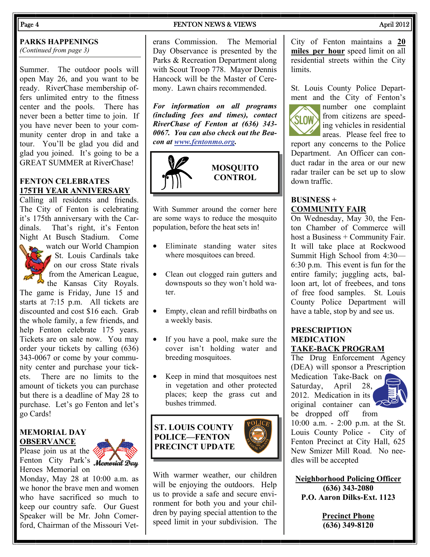#### **PARKS HAPPENINGS**

*(Continued from page 3)* 

Summer. The outdoor pools will open May 26, and you want to be ready. RiverChase membership offers unlimited entry to the fitness center and the pools. There has never been a better time to join. If you have never been to your community center drop in and take a tour. You'll be glad you did and glad you joined. It's going to be a GREAT SUMMER at RiverChase!

#### **FENTON CELEBRATES 175TH YEAR ANNIVERSARY**

Calling all residents and friends. The City of Fenton is celebrating it's 175th anniversary with the Cardinals. That's right, it's Fenton Night At Busch Stadium. Come



watch our World Champion St. Louis Cardinals take on our cross State rivals from the American League,

the Kansas City Royals. The game is Friday, June 15 and starts at 7:15 p.m. All tickets are discounted and cost \$16 each. Grab the whole family, a few friends, and help Fenton celebrate 175 years. Tickets are on sale now. You may order your tickets by calling (636) 343-0067 or come by your community center and purchase your tickets. There are no limits to the amount of tickets you can purchase but there is a deadline of May 28 to purchase. Let's go Fenton and let's go Cards!

#### **MEMORIAL DAY OBSERVANCE**

Please join us at the Fenton City Park's Memorial Day Heroes Memorial on



Monday, May 28 at 10:00 a.m. as we honor the brave men and women who have sacrificed so much to keep our country safe. Our Guest Speaker will be Mr. John Comerford, Chairman of the Missouri Vet-

#### Page 4 **FENTON NEWS & VIEWS April 2012**

erans Commission. The Memorial Day Observance is presented by the Parks & Recreation Department along with Scout Troop 778. Mayor Dennis Hancock will be the Master of Ceremony. Lawn chairs recommended.

*For information on all programs (including fees and times), contact RiverChase of Fenton at (636) 343- 0067. You can also check out the Beacon at [www.fentonmo.org](http://www.fentonmo.org).*



# **MOSQUITO CONTROL**

With Summer around the corner here are some ways to reduce the mosquito population, before the heat sets in!

- Eliminate standing water sites where mosquitoes can breed.
- Clean out clogged rain gutters and downspouts so they won't hold water.
- Empty, clean and refill birdbaths on a weekly basis.
- If you have a pool, make sure the cover isn't holding water and breeding mosquitoes.
- Keep in mind that mosquitoes nest in vegetation and other protected places; keep the grass cut and bushes trimmed.

# **ST. LOUIS COUNTY POLICE—FENTON PRECINCT UPDATE**



City of Fenton maintains a **20 miles per hour** speed limit on all residential streets within the City **limits** 

St. Louis County Police Department and the City of Fenton's



number one complaint **SLOW** from citizens are speeding vehicles in residential areas. Please feel free to

report any concerns to the Police Department. An Officer can conduct radar in the area or our new radar trailer can be set up to slow down traffic.

#### **BUSINESS + COMMUNITY FAIR**

On Wednesday, May 30, the Fenton Chamber of Commerce will host a Business + Community Fair. It will take place at Rockwood Summit High School from 4:30— 6:30 p.m. This event is fun for the entire family; juggling acts, balloon art, lot of freebees, and tons of free food samples. St. Louis County Police Department will have a table, stop by and see us.

#### **PRESCRIPTION MEDICATION TAKE-BACK PROGRAM**

The Drug Enforcement Agency (DEA) will sponsor a Prescription Medication Take-Back on Saturday, April 28, 2012. Medication in its original container can



be dropped off from 10:00 a.m. - 2:00 p.m. at the St. Louis County Police - City of Fenton Precinct at City Hall, 625 New Smizer Mill Road. No needles will be accepted

**Neighborhood Policing Officer (636) 343-2080 P.O. Aaron Dilks-Ext. 1123** 

> **Precinct Phone (636) 349-8120**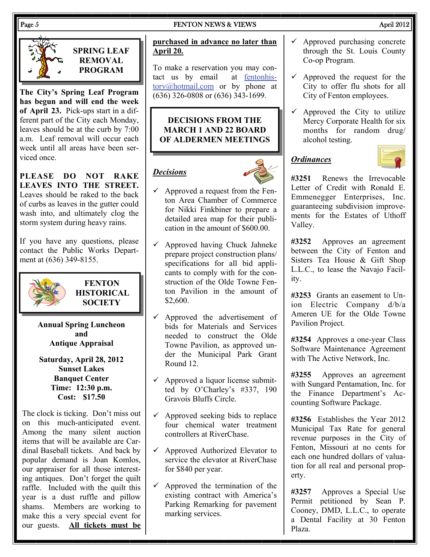# Page 5 **FENTON NEWS & VIEWS** April 2012



**SPRING LEAF REMOVAL PROGRAM** 

**The City's Spring Leaf Program has begun and will end the week of April 23.** Pick-ups start in a different part of the City each Monday, leaves should be at the curb by 7:00 a.m. Leaf removal will occur each week until all areas have been serviced once.

**PLEASE DO NOT RAKE LEAVES INTO THE STREET.** Leaves should be raked to the back of curbs as leaves in the gutter could wash into, and ultimately clog the storm system during heavy rains.

If you have any questions, please contact the Public Works Department at (636) 349-8155.



**FENTON HISTORICAL SOCIETY** 

**Annual Spring Luncheon and Antique Appraisal** 

**Saturday, April 28, 2012 Sunset Lakes Banquet Center Time: 12:30 p.m. Cost: \$17.50** 

The clock is ticking. Don't miss out on this much-anticipated event. Among the many silent auction items that will be available are Cardinal Baseball tickets. And back by popular demand is Joan Komlos, our appraiser for all those interesting antiques. Don't forget the quilt raffle. Included with the quilt this year is a dust ruffle and pillow shams. Members are working to make this a very special event for our guests. **All tickets must be** 

#### **purchased in advance no later than April 20.**

To make a reservation you may contact us by email at [fentonhis](mailto:fentonhistory@hotmail.com)[tory@hotmail.com](mailto:fentonhistory@hotmail.com) or by phone at (636) 326-0808 or (636) 343-1699.

#### **DECISIONS FROM THE MARCH 1 AND 22 BOARD OF ALDERMEN MEETINGS**

# *Decisions*



- $\checkmark$  Approved a request from the Fenton Area Chamber of Commerce for Nikki Finkbiner to prepare a detailed area map for their publication in the amount of \$600.00.
- $\checkmark$  Approved having Chuck Jahneke prepare project construction plans/ specifications for all bid applicants to comply with for the construction of the Olde Towne Fenton Pavilion in the amount of \$2,600.
- $\checkmark$  Approved the advertisement of bids for Materials and Services needed to construct the Olde Towne Pavilion, as approved under the Municipal Park Grant Round 12.
- $\checkmark$  Approved a liquor license submitted by O'Charley's #337, 190 Gravois Bluffs Circle.
- $\checkmark$  Approved seeking bids to replace four chemical water treatment controllers at RiverChase.
- $\checkmark$  Approved Authorized Elevator to service the elevator at RiverChase for \$840 per year.
- $\checkmark$  Approved the termination of the existing contract with America's Parking Remarking for pavement marking services.
- $\checkmark$  Approved purchasing concrete through the St. Louis County Co-op Program.
- $\checkmark$  Approved the request for the City to offer flu shots for all City of Fenton employees.
- $\checkmark$  Approved the City to utilize Mercy Corporate Health for six months for random drug/ alcohol testing.

# *Ordinances*



**#3251** Renews the Irrevocable Letter of Credit with Ronald E. Emmenegger Enterprises, Inc. guaranteeing subdivision improvements for the Estates of Uthoff Valley.

**#3252** Approves an agreement between the City of Fenton and Sisters Tea House & Gift Shop L.L.C., to lease the Navajo Facility.

**#3253** Grants an easement to Union Electric Company d/b/a Ameren UE for the Olde Towne Pavilion Project.

**#3254** Approves a one-year Class Software Maintenance Agreement with The Active Network, Inc.

**#3255** Approves an agreement with Sungard Pentamation, Inc. for the Finance Department's Accounting Software Package.

**#3256** Establishes the Year 2012 Municipal Tax Rate for general revenue purposes in the City of Fenton, Missouri at no cents for each one hundred dollars of valuation for all real and personal property.

**#3257** Approves a Special Use Permit petitioned by Sean P. Cooney, DMD, L.L.C., to operate a Dental Facility at 30 Fenton Plaza.